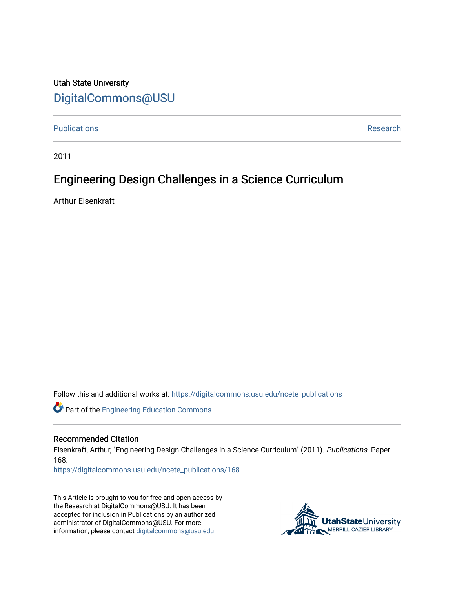### Utah State University [DigitalCommons@USU](https://digitalcommons.usu.edu/)

[Publications](https://digitalcommons.usu.edu/ncete_publications) **Research Research Research Research Research Research Research** 

2011

## Engineering Design Challenges in a Science Curriculum

Arthur Eisenkraft

Follow this and additional works at: [https://digitalcommons.usu.edu/ncete\\_publications](https://digitalcommons.usu.edu/ncete_publications?utm_source=digitalcommons.usu.edu%2Fncete_publications%2F168&utm_medium=PDF&utm_campaign=PDFCoverPages) 

**C** Part of the Engineering Education Commons

### Recommended Citation

Eisenkraft, Arthur, "Engineering Design Challenges in a Science Curriculum" (2011). Publications. Paper 168.

[https://digitalcommons.usu.edu/ncete\\_publications/168](https://digitalcommons.usu.edu/ncete_publications/168?utm_source=digitalcommons.usu.edu%2Fncete_publications%2F168&utm_medium=PDF&utm_campaign=PDFCoverPages) 

This Article is brought to you for free and open access by the Research at DigitalCommons@USU. It has been accepted for inclusion in Publications by an authorized administrator of DigitalCommons@USU. For more information, please contact [digitalcommons@usu.edu](mailto:digitalcommons@usu.edu).

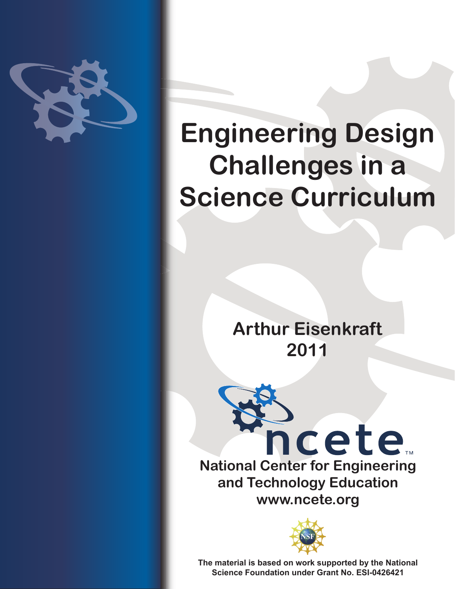

# **Engineering Design Challenges in a Science Curriculum**

**Arthur Eisenkraft 2011**





**The material is based on work supported by the National Science Foundation under Grant No. ESI-0426421**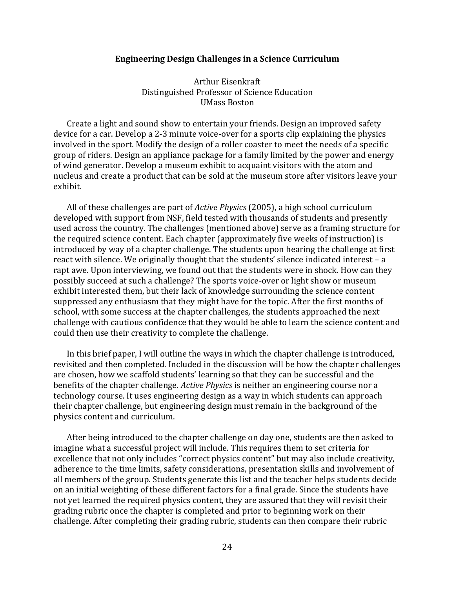### **Engineering Design Challenges in a Science Curriculum**

Arthur Eisenkraft Distinguished Professor of Science Education UMass Boston

Create a light and sound show to entertain your friends. Design an improved safety device for a car. Develop a 2-3 minute voice-over for a sports clip explaining the physics involved in the sport. Modify the design of a roller coaster to meet the needs of a specific group of riders. Design an appliance package for a family limited by the power and energy of wind generator. Develop a museum exhibit to acquaint visitors with the atom and nucleus and create a product that can be sold at the museum store after visitors leave your exhibit.

All of these challenges are part of *Active Physics* (2005), a high school curriculum developed with support from NSF, field tested with thousands of students and presently used across the country. The challenges (mentioned above) serve as a framing structure for the required science content. Each chapter (approximately five weeks of instruction) is introduced by way of a chapter challenge. The students upon hearing the challenge at first react with silence. We originally thought that the students' silence indicated interest – a rapt awe. Upon interviewing, we found out that the students were in shock. How can they possibly succeed at such a challenge? The sports voice-over or light show or museum exhibit interested them, but their lack of knowledge surrounding the science content suppressed any enthusiasm that they might have for the topic. After the first months of school, with some success at the chapter challenges, the students approached the next challenge with cautious confidence that they would be able to learn the science content and could then use their creativity to complete the challenge.

In this brief paper, I will outline the ways in which the chapter challenge is introduced, revisited and then completed. Included in the discussion will be how the chapter challenges are chosen, how we scaffold students' learning so that they can be successful and the benefits of the chapter challenge. *Active Physics* is neither an engineering course nor a technology course. It uses engineering design as a way in which students can approach their chapter challenge, but engineering design must remain in the background of the physics content and curriculum.

After being introduced to the chapter challenge on day one, students are then asked to imagine what a successful project will include. This requires them to set criteria for excellence that not only includes "correct physics content" but may also include creativity, adherence to the time limits, safety considerations, presentation skills and involvement of all members of the group. Students generate this list and the teacher helps students decide on an initial weighting of these different factors for a final grade. Since the students have not yet learned the required physics content, they are assured that they will revisit their grading rubric once the chapter is completed and prior to beginning work on their challenge. After completing their grading rubric, students can then compare their rubric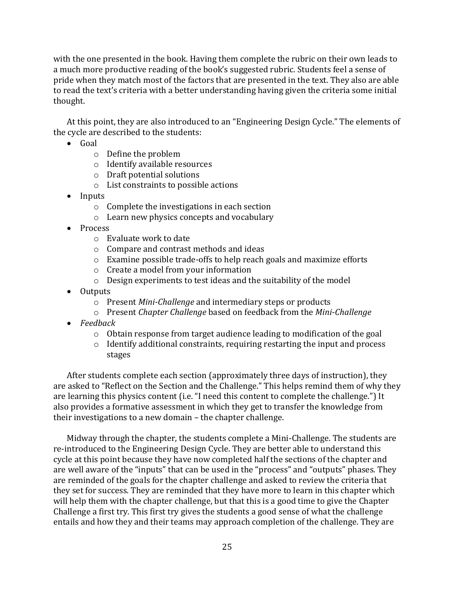with the one presented in the book. Having them complete the rubric on their own leads to a much more productive reading of the book's suggested rubric. Students feel a sense of pride when they match most of the factors that are presented in the text. They also are able to read the text's criteria with a better understanding having given the criteria some initial thought.

At this point, they are also introduced to an "Engineering Design Cycle." The elements of the cycle are described to the students:

- $\bullet$  Goal
	- o Define the problem
	- o Identify available resources
	- o Draft potential solutions
	- o List constraints to possible actions
- Inputs
	- o Complete the investigations in each section
	- o Learn new physics concepts and vocabulary
- Process
	- o Evaluate work to date
	- o Compare and contrast methods and ideas
	- o Examine possible trade-offs to help reach goals and maximize efforts
	- o Create a model from your information
	- o Design experiments to test ideas and the suitability of the model
- Outputs
	- o Present *Mini-Challenge* and intermediary steps or products
	- o Present *Chapter Challenge* based on feedback from the *Mini-Challenge*
- *Feedback*
	- $\circ$  Obtain response from target audience leading to modification of the goal
	- o Identify additional constraints, requiring restarting the input and process stages

After students complete each section (approximately three days of instruction), they are asked to "Reflect on the Section and the Challenge." This helps remind them of why they are learning this physics content (i.e. "I need this content to complete the challenge.") It also provides a formative assessment in which they get to transfer the knowledge from their investigations to a new domain – the chapter challenge.

Midway through the chapter, the students complete a Mini-Challenge. The students are re-introduced to the Engineering Design Cycle. They are better able to understand this cycle at this point because they have now completed half the sections of the chapter and are well aware of the "inputs" that can be used in the "process" and "outputs" phases. They are reminded of the goals for the chapter challenge and asked to review the criteria that they set for success. They are reminded that they have more to learn in this chapter which will help them with the chapter challenge, but that this is a good time to give the Chapter Challenge a first try. This first try gives the students a good sense of what the challenge entails and how they and their teams may approach completion of the challenge. They are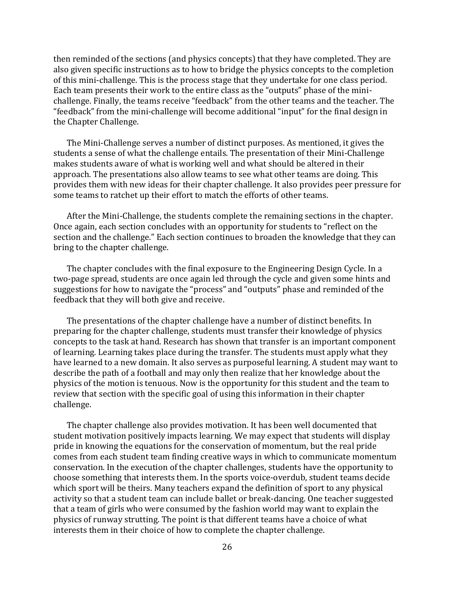then reminded of the sections (and physics concepts) that they have completed. They are also given specific instructions as to how to bridge the physics concepts to the completion of this mini-challenge. This is the process stage that they undertake for one class period. Each team presents their work to the entire class as the "outputs" phase of the minichallenge. Finally, the teams receive "feedback" from the other teams and the teacher. The "feedback" from the mini-challenge will become additional "input" for the final design in the Chapter Challenge.

The Mini-Challenge serves a number of distinct purposes. As mentioned, it gives the students a sense of what the challenge entails. The presentation of their Mini-Challenge makes students aware of what is working well and what should be altered in their approach. The presentations also allow teams to see what other teams are doing. This provides them with new ideas for their chapter challenge. It also provides peer pressure for some teams to ratchet up their effort to match the efforts of other teams.

After the Mini-Challenge, the students complete the remaining sections in the chapter. Once again, each section concludes with an opportunity for students to "reflect on the section and the challenge." Each section continues to broaden the knowledge that they can bring to the chapter challenge.

The chapter concludes with the final exposure to the Engineering Design Cycle. In a two-page spread, students are once again led through the cycle and given some hints and suggestions for how to navigate the "process" and "outputs" phase and reminded of the feedback that they will both give and receive.

The presentations of the chapter challenge have a number of distinct benefits. In preparing for the chapter challenge, students must transfer their knowledge of physics concepts to the task at hand. Research has shown that transfer is an important component of learning. Learning takes place during the transfer. The students must apply what they have learned to a new domain. It also serves as purposeful learning. A student may want to describe the path of a football and may only then realize that her knowledge about the physics of the motion is tenuous. Now is the opportunity for this student and the team to review that section with the specific goal of using this information in their chapter challenge.

The chapter challenge also provides motivation. It has been well documented that student motivation positively impacts learning. We may expect that students will display pride in knowing the equations for the conservation of momentum, but the real pride comes from each student team finding creative ways in which to communicate momentum conservation. In the execution of the chapter challenges, students have the opportunity to choose something that interests them. In the sports voice-overdub, student teams decide which sport will be theirs. Many teachers expand the definition of sport to any physical activity so that a student team can include ballet or break-dancing. One teacher suggested that a team of girls who were consumed by the fashion world may want to explain the physics of runway strutting. The point is that different teams have a choice of what interests them in their choice of how to complete the chapter challenge.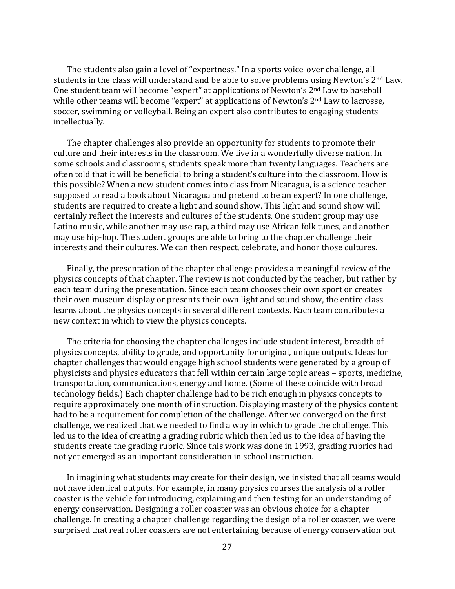The students also gain a level of "expertness." In a sports voice-over challenge, all students in the class will understand and be able to solve problems using Newton's 2nd Law. One student team will become "expert" at applications of Newton's 2nd Law to baseball while other teams will become "expert" at applications of Newton's 2<sup>nd</sup> Law to lacrosse, soccer, swimming or volleyball. Being an expert also contributes to engaging students intellectually.

The chapter challenges also provide an opportunity for students to promote their culture and their interests in the classroom. We live in a wonderfully diverse nation. In some schools and classrooms, students speak more than twenty languages. Teachers are often told that it will be beneficial to bring a student's culture into the classroom. How is this possible? When a new student comes into class from Nicaragua, is a science teacher supposed to read a book about Nicaragua and pretend to be an expert? In one challenge, students are required to create a light and sound show. This light and sound show will certainly reflect the interests and cultures of the students. One student group may use Latino music, while another may use rap, a third may use African folk tunes, and another may use hip-hop. The student groups are able to bring to the chapter challenge their interests and their cultures. We can then respect, celebrate, and honor those cultures.

Finally, the presentation of the chapter challenge provides a meaningful review of the physics concepts of that chapter. The review is not conducted by the teacher, but rather by each team during the presentation. Since each team chooses their own sport or creates their own museum display or presents their own light and sound show, the entire class learns about the physics concepts in several different contexts. Each team contributes a new context in which to view the physics concepts.

The criteria for choosing the chapter challenges include student interest, breadth of physics concepts, ability to grade, and opportunity for original, unique outputs. Ideas for chapter challenges that would engage high school students were generated by a group of physicists and physics educators that fell within certain large topic areas – sports, medicine, transportation, communications, energy and home. (Some of these coincide with broad technology fields.) Each chapter challenge had to be rich enough in physics concepts to require approximately one month of instruction. Displaying mastery of the physics content had to be a requirement for completion of the challenge. After we converged on the first challenge, we realized that we needed to find a way in which to grade the challenge. This led us to the idea of creating a grading rubric which then led us to the idea of having the students create the grading rubric. Since this work was done in 1993, grading rubrics had not yet emerged as an important consideration in school instruction.

In imagining what students may create for their design, we insisted that all teams would not have identical outputs. For example, in many physics courses the analysis of a roller coaster is the vehicle for introducing, explaining and then testing for an understanding of energy conservation. Designing a roller coaster was an obvious choice for a chapter challenge. In creating a chapter challenge regarding the design of a roller coaster, we were surprised that real roller coasters are not entertaining because of energy conservation but